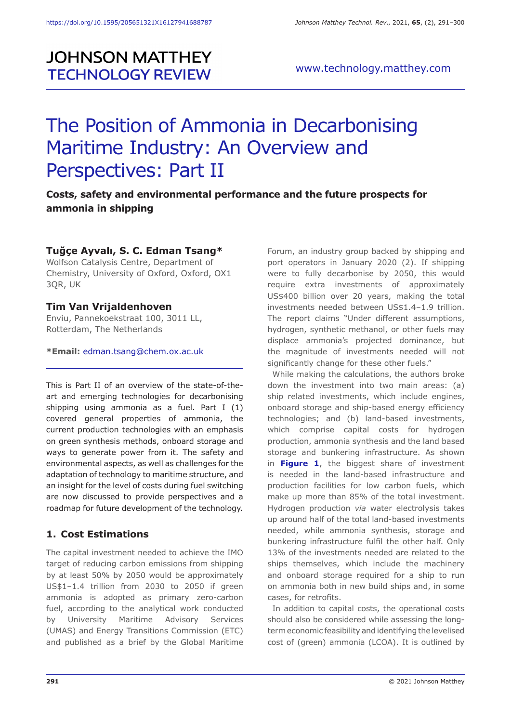# **JOHNSON MATTHEY TECHNOLOGY REVIEW**

# The Position of Ammonia in Decarbonising Maritime Industry: An Overview and Perspectives: Part II

**Costs, safety and environmental performance and the future prospects for ammonia in shipping**

# **Tuğçe Ayvalı, S. C. Edman Tsang\***

Wolfson Catalysis Centre, Department of Chemistry, University of Oxford, Oxford, OX1 3QR, UK

## **Tim Van Vrijaldenhoven**

Enviu, Pannekoekstraat 100, 3011 LL, Rotterdam, The Netherlands

**\*Email:** edman.tsang@chem.ox.ac.uk

This is Part II of an overview of the state-of-theart and emerging technologies for decarbonising shipping using ammonia as a fuel. Part I (1) covered general properties of ammonia, the current production technologies with an emphasis on green synthesis methods, onboard storage and ways to generate power from it. The safety and environmental aspects, as well as challenges for the adaptation of technology to maritime structure, and an insight for the level of costs during fuel switching are now discussed to provide perspectives and a roadmap for future development of the technology.

# **1. Cost Estimations**

The capital investment needed to achieve the IMO target of reducing carbon emissions from shipping by at least 50% by 2050 would be approximately US\$1–1.4 trillion from 2030 to 2050 if green ammonia is adopted as primary zero-carbon fuel, according to the analytical work conducted by University Maritime Advisory Services (UMAS) and Energy Transitions Commission (ETC) and published as a brief by the Global Maritime

Forum, an industry group backed by shipping and port operators in January 2020 (2). If shipping were to fully decarbonise by 2050, this would require extra investments of approximately US\$400 billion over 20 years, making the total investments needed between US\$1.4–1.9 trillion. The report claims "Under different assumptions, hydrogen, synthetic methanol, or other fuels may displace ammonia's projected dominance, but the magnitude of investments needed will not significantly change for these other fuels."

While making the calculations, the authors broke down the investment into two main areas: (a) ship related investments, which include engines, onboard storage and ship-based energy efficiency technologies; and (b) land-based investments, which comprise capital costs for hydrogen production, ammonia synthesis and the land based storage and bunkering infrastructure. As shown in **Figure 1**, the biggest share of investment is needed in the land-based infrastructure and production facilities for low carbon fuels, which make up more than 85% of the total investment. Hydrogen production *via* water electrolysis takes up around half of the total land-based investments needed, while ammonia synthesis, storage and bunkering infrastructure fulfil the other half. Only 13% of the investments needed are related to the ships themselves, which include the machinery and onboard storage required for a ship to run on ammonia both in new build ships and, in some cases, for retrofits.

In addition to capital costs, the operational costs should also be considered while assessing the longterm economic feasibility and identifying the levelised cost of (green) ammonia (LCOA). It is outlined by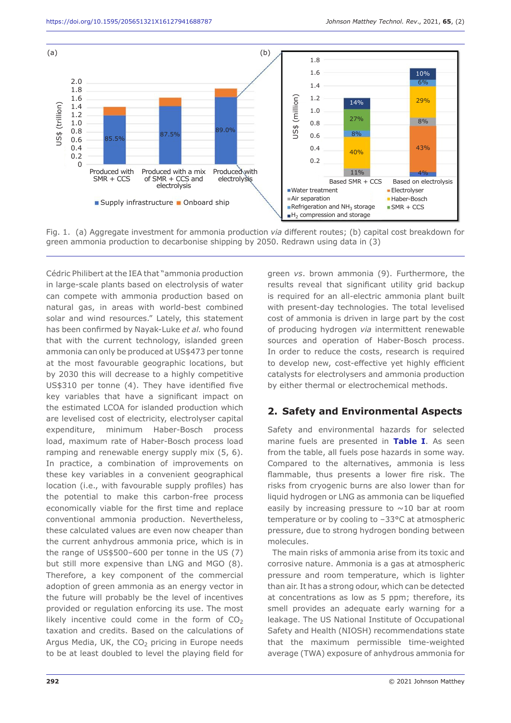

Fig. 1. (a) Aggregate investment for ammonia production *via* different routes; (b) capital cost breakdown for green ammonia production to decarbonise shipping by 2050. Redrawn using data in (3)

Cédric Philibert at the IEA that "ammonia production in large-scale plants based on electrolysis of water can compete with ammonia production based on natural gas, in areas with world-best combined solar and wind resources." Lately, this statement has been confirmed by Nayak-Luke *et al.* who found that with the current technology, islanded green ammonia can only be produced at US\$473 per tonne at the most favourable geographic locations, but by 2030 this will decrease to a highly competitive US\$310 per tonne (4). They have identified five key variables that have a significant impact on the estimated LCOA for islanded production which are levelised cost of electricity, electrolyser capital expenditure, minimum Haber-Bosch process load, maximum rate of Haber-Bosch process load ramping and renewable energy supply mix (5, 6). In practice, a combination of improvements on these key variables in a convenient geographical location (i.e., with favourable supply profiles) has the potential to make this carbon-free process economically viable for the first time and replace conventional ammonia production. Nevertheless, these calculated values are even now cheaper than the current anhydrous ammonia price, which is in the range of US\$500–600 per tonne in the US (7) but still more expensive than LNG and MGO (8). Therefore, a key component of the commercial adoption of green ammonia as an energy vector in the future will probably be the level of incentives provided or regulation enforcing its use. The most likely incentive could come in the form of  $CO<sub>2</sub>$ taxation and credits. Based on the calculations of Argus Media, UK, the  $CO<sub>2</sub>$  pricing in Europe needs to be at least doubled to level the playing field for green *vs*. brown ammonia (9). Furthermore, the results reveal that significant utility grid backup is required for an all-electric ammonia plant built with present-day technologies. The total levelised cost of ammonia is driven in large part by the cost of producing hydrogen *via* intermittent renewable sources and operation of Haber-Bosch process. In order to reduce the costs, research is required to develop new, cost-effective yet highly efficient catalysts for electrolysers and ammonia production by either thermal or electrochemical methods.

## **2. Safety and Environmental Aspects**

Safety and environmental hazards for selected marine fuels are presented in **Table I**. As seen from the table, all fuels pose hazards in some way. Compared to the alternatives, ammonia is less flammable, thus presents a lower fire risk. The risks from cryogenic burns are also lower than for liquid hydrogen or LNG as ammonia can be liquefied easily by increasing pressure to  $\sim$ 10 bar at room temperature or by cooling to –33°C at atmospheric pressure, due to strong hydrogen bonding between molecules.

The main risks of ammonia arise from its toxic and corrosive nature. Ammonia is a gas at atmospheric pressure and room temperature, which is lighter than air. It has a strong odour, which can be detected at concentrations as low as 5 ppm; therefore, its smell provides an adequate early warning for a leakage. The US National Institute of Occupational Safety and Health (NIOSH) recommendations state that the maximum permissible time-weighted average (TWA) exposure of anhydrous ammonia for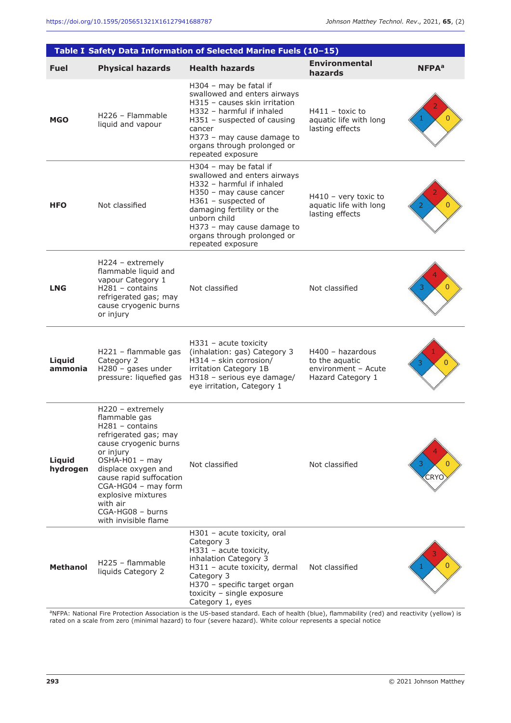|                    |                                                                                                                                                                                                                                                                                                | Table I Safety Data Information of Selected Marine Fuels (10-15)                                                                                                                                                                                                     |                                                                                  |                   |
|--------------------|------------------------------------------------------------------------------------------------------------------------------------------------------------------------------------------------------------------------------------------------------------------------------------------------|----------------------------------------------------------------------------------------------------------------------------------------------------------------------------------------------------------------------------------------------------------------------|----------------------------------------------------------------------------------|-------------------|
| <b>Fuel</b>        | <b>Physical hazards</b>                                                                                                                                                                                                                                                                        | <b>Health hazards</b>                                                                                                                                                                                                                                                | <b>Environmental</b><br>hazards                                                  | NFPA <sup>a</sup> |
| <b>MGO</b>         | H <sub>226</sub> - Flammable<br>liquid and vapour                                                                                                                                                                                                                                              | H304 - may be fatal if<br>swallowed and enters airways<br>H315 - causes skin irritation<br>H332 - harmful if inhaled<br>$H351$ – suspected of causing<br>cancer<br>H373 - may cause damage to<br>organs through prolonged or<br>repeated exposure                    | $H411 -$ toxic to<br>aquatic life with long<br>lasting effects                   | $\overline{0}$    |
| <b>HFO</b>         | Not classified                                                                                                                                                                                                                                                                                 | H304 - may be fatal if<br>swallowed and enters airways<br>H332 - harmful if inhaled<br>H350 - may cause cancer<br>H361 - suspected of<br>damaging fertility or the<br>unborn child<br>H373 - may cause damage to<br>organs through prolonged or<br>repeated exposure | $H410$ – very toxic to<br>aquatic life with long<br>lasting effects              | $\overline{0}$    |
| <b>LNG</b>         | $H224 - extremely$<br>flammable liquid and<br>vapour Category 1<br>$H281 - \text{contains}$<br>refrigerated gas; may<br>cause cryogenic burns<br>or injury                                                                                                                                     | Not classified                                                                                                                                                                                                                                                       | Not classified                                                                   | 0                 |
| Liquid<br>ammonia  | H221 - flammable gas<br>Category 2<br>$H280 - gases$ under<br>pressure: liquefied gas                                                                                                                                                                                                          | $H331$ – acute toxicity<br>(inhalation: gas) Category 3<br>H314 - skin corrosion/<br>irritation Category 1B<br>H318 - serious eye damage/<br>eye irritation, Category 1                                                                                              | $H400 -$ hazardous<br>to the aquatic<br>environment - Acute<br>Hazard Category 1 | $\overline{0}$    |
| Liquid<br>hydrogen | H220 - extremely<br>flammable gas<br>H281 - contains<br>refrigerated gas; may<br>cause cryogenic burns<br>or injury<br>$OSHA-H01 - may$<br>displace oxygen and<br>cause rapid suffocation<br>CGA-HG04 - may form<br>explosive mixtures<br>with air<br>CGA-HG08 - burns<br>with invisible flame | Not classified                                                                                                                                                                                                                                                       | Not classified                                                                   | 3.<br>CRYC        |
| <b>Methanol</b>    | H225 - flammable<br>liquids Category 2                                                                                                                                                                                                                                                         | $H301$ – acute toxicity, oral<br>Category 3<br>H331 - acute toxicity,<br>inhalation Category 3<br>H311 - acute toxicity, dermal<br>Category 3<br>H370 - specific target organ<br>toxicity - single exposure<br>Category 1, eyes                                      | Not classified                                                                   |                   |

aNFPA: National Fire Protection Association is the US-based standard. Each of health (blue), flammability (red) and reactivity (yellow) is rated on a scale from zero (minimal hazard) to four (severe hazard). White colour represents a special notice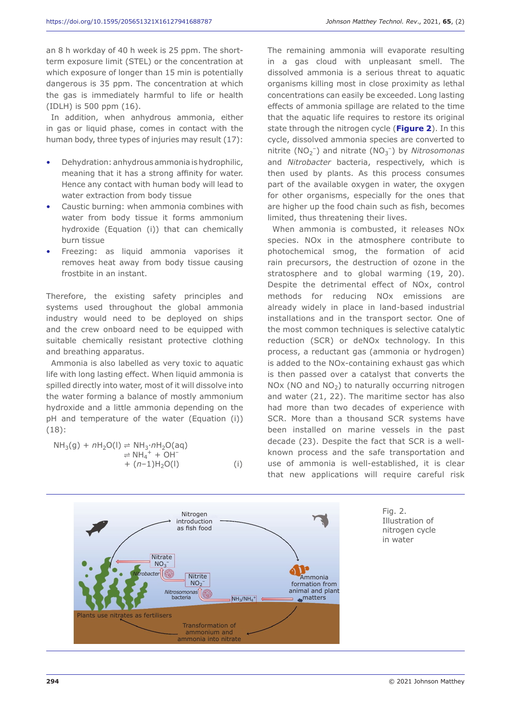an 8 h workday of 40 h week is 25 ppm. The shortterm exposure limit (STEL) or the concentration at which exposure of longer than 15 min is potentially dangerous is 35 ppm. The concentration at which the gas is immediately harmful to life or health (IDLH) is 500 ppm (16).

In addition, when anhydrous ammonia, either in gas or liquid phase, comes in contact with the human body, three types of injuries may result (17):

- Dehydration: anhydrous ammonia is hydrophilic, meaning that it has a strong affinity for water. Hence any contact with human body will lead to water extraction from body tissue
- Caustic burning: when ammonia combines with water from body tissue it forms ammonium hydroxide (Equation (i)) that can chemically burn tissue
- Freezing: as liquid ammonia vaporises it removes heat away from body tissue causing frostbite in an instant.

Therefore, the existing safety principles and systems used throughout the global ammonia industry would need to be deployed on ships and the crew onboard need to be equipped with suitable chemically resistant protective clothing and breathing apparatus.

Ammonia is also labelled as very toxic to aquatic life with long lasting effect. When liquid ammonia is spilled directly into water, most of it will dissolve into the water forming a balance of mostly ammonium hydroxide and a little ammonia depending on the pH and temperature of the water (Equation (i)) (18):

NH3(g) + *n*H2O(l) ⇌ NH3∙*n*H2O(aq) ⇌ NH4 + + OH– + (*n*–1)H2O(l) (i)

The remaining ammonia will evaporate resulting in a gas cloud with unpleasant smell. The dissolved ammonia is a serious threat to aquatic organisms killing most in close proximity as lethal concentrations can easily be exceeded. Long lasting effects of ammonia spillage are related to the time that the aquatic life requires to restore its original state through the nitrogen cycle (**Figure 2**). In this cycle, dissolved ammonia species are converted to nitrite (NO<sub>2</sub><sup>-</sup>) and nitrate (NO<sub>3</sub><sup>-</sup>) by *Nitrosomonas* and *Nitrobacter* bacteria, respectively, which is then used by plants. As this process consumes part of the available oxygen in water, the oxygen for other organisms, especially for the ones that are higher up the food chain such as fish, becomes limited, thus threatening their lives.

When ammonia is combusted, it releases NOx species. NOx in the atmosphere contribute to photochemical smog, the formation of acid rain precursors, the destruction of ozone in the stratosphere and to global warming (19, 20). Despite the detrimental effect of NOx, control methods for reducing NOx emissions are already widely in place in land-based industrial installations and in the transport sector. One of the most common techniques is selective catalytic reduction (SCR) or deNOx technology. In this process, a reductant gas (ammonia or hydrogen) is added to the NOx-containing exhaust gas which is then passed over a catalyst that converts the  $NOx$  (NO and  $NO<sub>2</sub>$ ) to naturally occurring nitrogen and water (21, 22). The maritime sector has also had more than two decades of experience with SCR. More than a thousand SCR systems have been installed on marine vessels in the past decade (23). Despite the fact that SCR is a wellknown process and the safe transportation and use of ammonia is well-established, it is clear that new applications will require careful risk

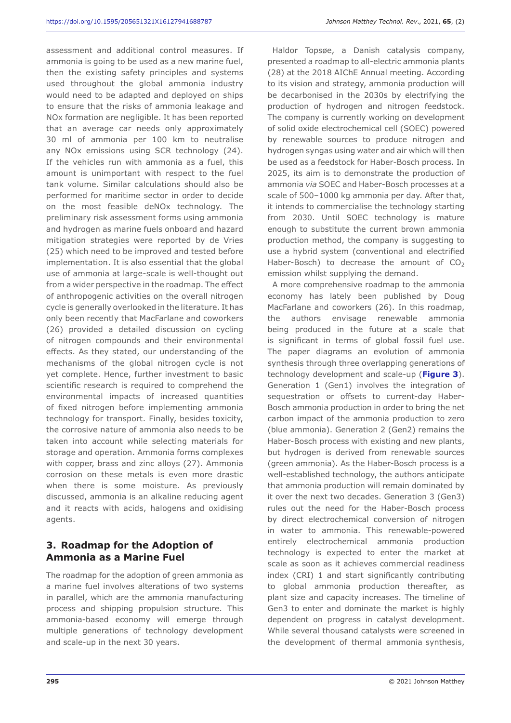assessment and additional control measures. If ammonia is going to be used as a new marine fuel, then the existing safety principles and systems used throughout the global ammonia industry would need to be adapted and deployed on ships to ensure that the risks of ammonia leakage and NOx formation are negligible. It has been reported that an average car needs only approximately 30 ml of ammonia per 100 km to neutralise any NOx emissions using SCR technology (24). If the vehicles run with ammonia as a fuel, this amount is unimportant with respect to the fuel tank volume. Similar calculations should also be performed for maritime sector in order to decide on the most feasible deNOx technology. The preliminary risk assessment forms using ammonia and hydrogen as marine fuels onboard and hazard mitigation strategies were reported by de Vries (25) which need to be improved and tested before implementation. It is also essential that the global use of ammonia at large-scale is well-thought out from a wider perspective in the roadmap. The effect of anthropogenic activities on the overall nitrogen cycle is generally overlooked in the literature. It has only been recently that MacFarlane and coworkers (26) provided a detailed discussion on cycling of nitrogen compounds and their environmental effects. As they stated, our understanding of the mechanisms of the global nitrogen cycle is not yet complete. Hence, further investment to basic scientific research is required to comprehend the environmental impacts of increased quantities of fixed nitrogen before implementing ammonia technology for transport. Finally, besides toxicity, the corrosive nature of ammonia also needs to be taken into account while selecting materials for storage and operation. Ammonia forms complexes with copper, brass and zinc alloys (27). Ammonia corrosion on these metals is even more drastic when there is some moisture. As previously discussed, ammonia is an alkaline reducing agent and it reacts with acids, halogens and oxidising agents.

# **3. Roadmap for the Adoption of Ammonia as a Marine Fuel**

The roadmap for the adoption of green ammonia as a marine fuel involves alterations of two systems in parallel, which are the ammonia manufacturing process and shipping propulsion structure. This ammonia-based economy will emerge through multiple generations of technology development and scale-up in the next 30 years.

Haldor Topsøe, a Danish catalysis company, presented a roadmap to all-electric ammonia plants (28) at the 2018 AIChE Annual meeting. According to its vision and strategy, ammonia production will be decarbonised in the 2030s by electrifying the production of hydrogen and nitrogen feedstock. The company is currently working on development of solid oxide electrochemical cell (SOEC) powered by renewable sources to produce nitrogen and hydrogen syngas using water and air which will then be used as a feedstock for Haber-Bosch process. In 2025, its aim is to demonstrate the production of ammonia *via* SOEC and Haber-Bosch processes at a scale of 500–1000 kg ammonia per day. After that, it intends to commercialise the technology starting from 2030. Until SOEC technology is mature enough to substitute the current brown ammonia production method, the company is suggesting to use a hybrid system (conventional and electrified Haber-Bosch) to decrease the amount of  $CO<sub>2</sub>$ emission whilst supplying the demand.

A more comprehensive roadmap to the ammonia economy has lately been published by Doug MacFarlane and coworkers (26). In this roadmap, the authors envisage renewable ammonia being produced in the future at a scale that is significant in terms of global fossil fuel use. The paper diagrams an evolution of ammonia synthesis through three overlapping generations of technology development and scale-up (**Figure 3**). Generation 1 (Gen1) involves the integration of sequestration or offsets to current-day Haber-Bosch ammonia production in order to bring the net carbon impact of the ammonia production to zero (blue ammonia). Generation 2 (Gen2) remains the Haber-Bosch process with existing and new plants, but hydrogen is derived from renewable sources (green ammonia). As the Haber-Bosch process is a well-established technology, the authors anticipate that ammonia production will remain dominated by it over the next two decades. Generation 3 (Gen3) rules out the need for the Haber-Bosch process by direct electrochemical conversion of nitrogen in water to ammonia. This renewable-powered entirely electrochemical ammonia production technology is expected to enter the market at scale as soon as it achieves commercial readiness index (CRI) 1 and start significantly contributing to global ammonia production thereafter, as plant size and capacity increases. The timeline of Gen3 to enter and dominate the market is highly dependent on progress in catalyst development. While several thousand catalysts were screened in the development of thermal ammonia synthesis,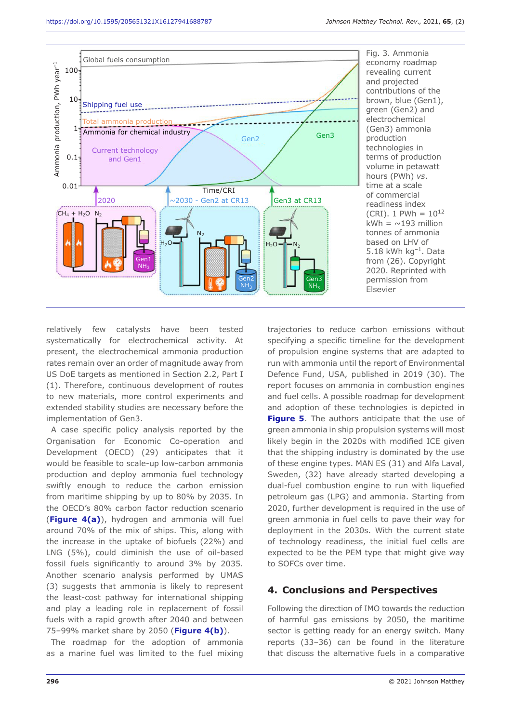

Fig. 3. Ammonia economy roadmap revealing current and projected contributions of the brown, blue (Gen1), green (Gen2) and electrochemical (Gen3) ammonia production technologies in terms of production volume in petawatt hours (PWh) *vs*. time at a scale of commercial readiness index (CRI). 1 PWh =  $10^{12}$ kWh =  $\sim$ 193 million tonnes of ammonia based on LHV of 5.18 kWh  $kg^{-1}$ . Data from (26). Copyright 2020. Reprinted with permission from Elsevier

relatively few catalysts have been tested systematically for electrochemical activity. At present, the electrochemical ammonia production rates remain over an order of magnitude away from US DoE targets as mentioned in Section 2.2, Part I (1). Therefore, continuous development of routes to new materials, more control experiments and extended stability studies are necessary before the implementation of Gen3.

A case specific policy analysis reported by the Organisation for Economic Co-operation and Development (OECD) (29) anticipates that it would be feasible to scale-up low-carbon ammonia production and deploy ammonia fuel technology swiftly enough to reduce the carbon emission from maritime shipping by up to 80% by 2035. In the OECD's 80% carbon factor reduction scenario (**Figure 4(a)**), hydrogen and ammonia will fuel around 70% of the mix of ships. This, along with the increase in the uptake of biofuels (22%) and LNG (5%), could diminish the use of oil-based fossil fuels significantly to around 3% by 2035. Another scenario analysis performed by UMAS (3) suggests that ammonia is likely to represent the least-cost pathway for international shipping and play a leading role in replacement of fossil fuels with a rapid growth after 2040 and between 75–99% market share by 2050 (**Figure 4(b)**).

The roadmap for the adoption of ammonia as a marine fuel was limited to the fuel mixing

trajectories to reduce carbon emissions without specifying a specific timeline for the development of propulsion engine systems that are adapted to run with ammonia until the report of Environmental Defence Fund, USA, published in 2019 (30). The report focuses on ammonia in combustion engines and fuel cells. A possible roadmap for development and adoption of these technologies is depicted in **Figure 5.** The authors anticipate that the use of green ammonia in ship propulsion systems will most likely begin in the 2020s with modified ICE given that the shipping industry is dominated by the use of these engine types. MAN ES (31) and Alfa Laval, Sweden, (32) have already started developing a dual-fuel combustion engine to run with liquefied petroleum gas (LPG) and ammonia. Starting from 2020, further development is required in the use of green ammonia in fuel cells to pave their way for deployment in the 2030s. With the current state of technology readiness, the initial fuel cells are expected to be the PEM type that might give way to SOFCs over time.

#### **4. Conclusions and Perspectives**

Following the direction of IMO towards the reduction of harmful gas emissions by 2050, the maritime sector is getting ready for an energy switch. Many reports (33–36) can be found in the literature that discuss the alternative fuels in a comparative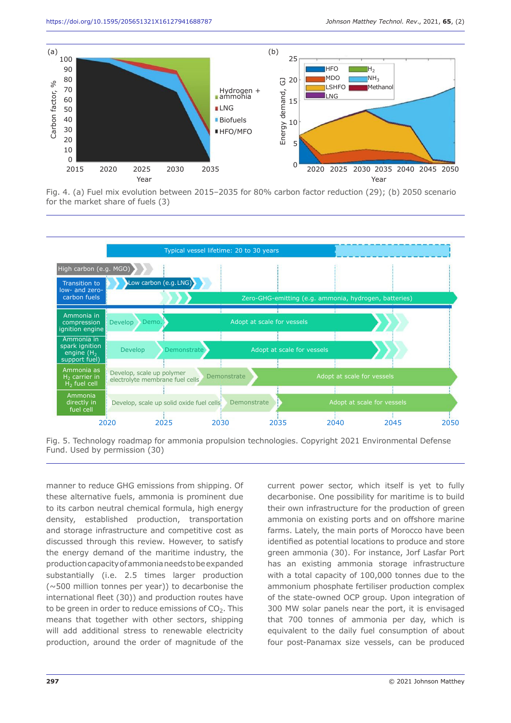

Fig. 4. (a) Fuel mix evolution between 2015–2035 for 80% carbon factor reduction (29); (b) 2050 scenario for the market share of fuels (3)



Fig. 5. Technology roadmap for ammonia propulsion technologies. Copyright 2021 Environmental Defense Fund. Used by permission (30)

manner to reduce GHG emissions from shipping. Of these alternative fuels, ammonia is prominent due to its carbon neutral chemical formula, high energy density, established production, transportation and storage infrastructure and competitive cost as discussed through this review. However, to satisfy the energy demand of the maritime industry, the production capacity of ammonia needs to be expanded substantially (i.e. 2.5 times larger production (~500 million tonnes per year)) to decarbonise the international fleet (30)) and production routes have to be green in order to reduce emissions of  $CO<sub>2</sub>$ . This means that together with other sectors, shipping will add additional stress to renewable electricity production, around the order of magnitude of the

current power sector, which itself is yet to fully decarbonise. One possibility for maritime is to build their own infrastructure for the production of green ammonia on existing ports and on offshore marine farms. Lately, the main ports of Morocco have been identified as potential locations to produce and store green ammonia (30). For instance, Jorf Lasfar Port has an existing ammonia storage infrastructure with a total capacity of 100,000 tonnes due to the ammonium phosphate fertiliser production complex of the state-owned OCP group. Upon integration of 300 MW solar panels near the port, it is envisaged that 700 tonnes of ammonia per day, which is equivalent to the daily fuel consumption of about four post-Panamax size vessels, can be produced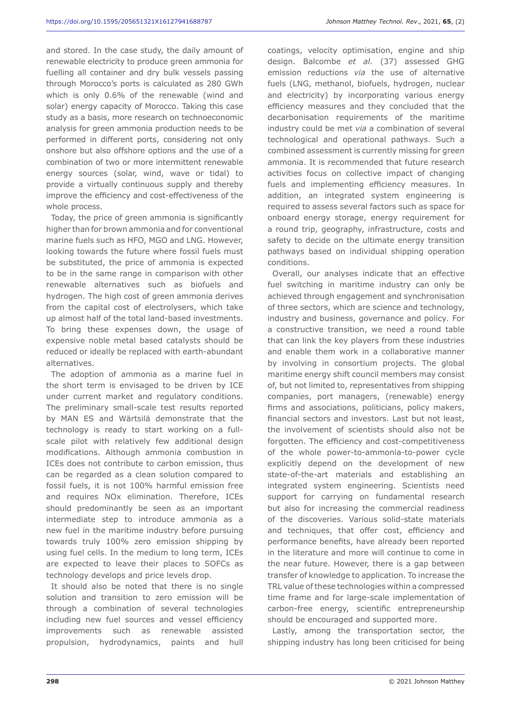and stored. In the case study, the daily amount of renewable electricity to produce green ammonia for fuelling all container and dry bulk vessels passing through Morocco's ports is calculated as 280 GWh which is only 0.6% of the renewable (wind and solar) energy capacity of Morocco. Taking this case study as a basis, more research on technoeconomic analysis for green ammonia production needs to be performed in different ports, considering not only onshore but also offshore options and the use of a combination of two or more intermittent renewable energy sources (solar, wind, wave or tidal) to provide a virtually continuous supply and thereby improve the efficiency and cost-effectiveness of the whole process.

Today, the price of green ammonia is significantly higher than for brown ammonia and for conventional marine fuels such as HFO, MGO and LNG. However, looking towards the future where fossil fuels must be substituted, the price of ammonia is expected to be in the same range in comparison with other renewable alternatives such as biofuels and hydrogen. The high cost of green ammonia derives from the capital cost of electrolysers, which take up almost half of the total land-based investments. To bring these expenses down, the usage of expensive noble metal based catalysts should be reduced or ideally be replaced with earth-abundant alternatives.

The adoption of ammonia as a marine fuel in the short term is envisaged to be driven by ICE under current market and regulatory conditions. The preliminary small-scale test results reported by MAN ES and Wärtsilä demonstrate that the technology is ready to start working on a fullscale pilot with relatively few additional design modifications. Although ammonia combustion in ICEs does not contribute to carbon emission, thus can be regarded as a clean solution compared to fossil fuels, it is not 100% harmful emission free and requires NOx elimination. Therefore, ICEs should predominantly be seen as an important intermediate step to introduce ammonia as a new fuel in the maritime industry before pursuing towards truly 100% zero emission shipping by using fuel cells. In the medium to long term, ICEs are expected to leave their places to SOFCs as technology develops and price levels drop.

It should also be noted that there is no single solution and transition to zero emission will be through a combination of several technologies including new fuel sources and vessel efficiency improvements such as renewable assisted propulsion, hydrodynamics, paints and hull

coatings, velocity optimisation, engine and ship design. Balcombe *et al.* (37) assessed GHG emission reductions *via* the use of alternative fuels (LNG, methanol, biofuels, hydrogen, nuclear and electricity) by incorporating various energy efficiency measures and they concluded that the decarbonisation requirements of the maritime industry could be met *via* a combination of several technological and operational pathways. Such a combined assessment is currently missing for green ammonia. It is recommended that future research activities focus on collective impact of changing fuels and implementing efficiency measures. In addition, an integrated system engineering is required to assess several factors such as space for onboard energy storage, energy requirement for a round trip, geography, infrastructure, costs and safety to decide on the ultimate energy transition pathways based on individual shipping operation conditions.

Overall, our analyses indicate that an effective fuel switching in maritime industry can only be achieved through engagement and synchronisation of three sectors, which are science and technology, industry and business, governance and policy*.* For a constructive transition, we need a round table that can link the key players from these industries and enable them work in a collaborative manner by involving in consortium projects. The global maritime energy shift council members may consist of, but not limited to, representatives from shipping companies, port managers, (renewable) energy firms and associations, politicians, policy makers, financial sectors and investors. Last but not least, the involvement of scientists should also not be forgotten. The efficiency and cost-competitiveness of the whole power-to-ammonia-to-power cycle explicitly depend on the development of new state-of-the-art materials and establishing an integrated system engineering. Scientists need support for carrying on fundamental research but also for increasing the commercial readiness of the discoveries. Various solid-state materials and techniques, that offer cost, efficiency and performance benefits, have already been reported in the literature and more will continue to come in the near future. However, there is a gap between transfer of knowledge to application. To increase the TRL value of these technologies within a compressed time frame and for large-scale implementation of carbon-free energy, scientific entrepreneurship should be encouraged and supported more.

Lastly, among the transportation sector, the shipping industry has long been criticised for being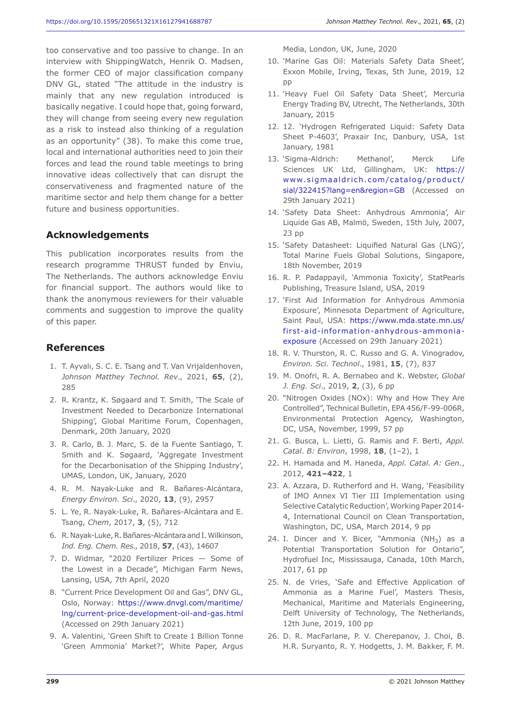too conservative and too passive to change. In an interview with ShippingWatch, Henrik O. Madsen, the former CEO of major classification company DNV GL, stated "The attitude in the industry is mainly that any new regulation introduced is basically negative. I could hope that, going forward, they will change from seeing every new regulation as a risk to instead also thinking of a regulation as an opportunity" (38). To make this come true, local and international authorities need to join their forces and lead the round table meetings to bring innovative ideas collectively that can disrupt the conservativeness and fragmented nature of the maritime sector and help them change for a better future and business opportunities.

# **Acknowledgements**

This publication incorporates results from the research programme THRUST funded by Enviu, The Netherlands. The authors acknowledge Enviu for financial support. The authors would like to thank the anonymous reviewers for their valuable comments and suggestion to improve the quality of this paper.

#### **References**

- 1. T. Ayvalı, S. C. E. Tsang and T. Van Vrijaldenhoven, *Johnson Matthey Technol. Rev*., 2021, **65**, (2), 285
- 2. R. Krantz, K. Søgaard and T. Smith, 'The Scale of Investment Needed to Decarbonize International Shipping', Global Maritime Forum, Copenhagen, Denmark, 20th January, 2020
- 3. R. Carlo, B. J. Marc, S. de la Fuente Santiago, T. Smith and K. Søgaard, 'Aggregate Investment for the Decarbonisation of the Shipping Industry', UMAS, London, UK, January, 2020
- 4. R. M. Nayak-Luke and R. Bañares-Alcántara, *Energy Environ. Sci*., 2020, **13**, (9), 2957
- 5. L. Ye, R. Nayak-Luke, R. Bañares-Alcántara and E. Tsang, *Chem*, 2017, **3**, (5), 712
- 6. R. Nayak-Luke, R. Bañares-Alcántara and I. Wilkinson, *Ind. Eng. Chem. Res*., 2018, **57**, (43), 14607
- 7. D. Widmar, "2020 Fertilizer Prices Some of the Lowest in a Decade", Michigan Farm News, Lansing, USA, 7th April, 2020
- 8. "Current Price Development Oil and Gas", DNV GL, Oslo, Norway: https://www.dnvgl.com/maritime/ lng/current-price-development-oil-and-gas.html (Accessed on 29th January 2021)
- 9. A. Valentini, 'Green Shift to Create 1 Billion Tonne 'Green Ammonia' Market?', White Paper, Argus

Media, London, UK, June, 2020

- 10. 'Marine Gas Oil: Materials Safety Data Sheet', Exxon Mobile, Irving, Texas, 5th June, 2019, 12 pp
- 11. 'Heavy Fuel Oil Safety Data Sheet', Mercuria Energy Trading BV, Utrecht, The Netherlands, 30th January, 2015
- 12. 12. 'Hydrogen Refrigerated Liquid: Safety Data Sheet P-4603', Praxair Inc, Danbury, USA, 1st January, 1981
- 13. 'Sigma-Aldrich: Methanol', Merck Life Sciences UK Ltd, Gillingham, UK: https:// www.sigmaaldrich.com/catalog/product/ sial/322415?lang=en&region=GB (Accessed on 29th January 2021)
- 14. 'Safety Data Sheet: Anhydrous Ammonia', Air Liquide Gas AB, Malmö, Sweden, 15th July, 2007, 23 pp
- 15. 'Safety Datasheet: Liquified Natural Gas (LNG)', Total Marine Fuels Global Solutions, Singapore, 18th November, 2019
- 16. R. P. Padappayil, 'Ammonia Toxicity', StatPearls Publishing, Treasure Island, USA, 2019
- 17. 'First Aid Information for Anhydrous Ammonia Exposure', Minnesota Department of Agriculture, Saint Paul, USA: https://www.mda.state.mn.us/ first-aid-information-anhydrous-ammoniaexposure (Accessed on 29th January 2021)
- 18. R. V. Thurston, R. C. Russo and G. A. Vinogradov, *Environ. Sci. Technol*., 1981, **15**, (7), 837
- 19. M. Onofri, R. A. Bernabeo and K. Webster, *Global J. Eng. Sci*., 2019, **2**, (3), 6 pp
- 20. "Nitrogen Oxides (NOx): Why and How They Are Controlled", Technical Bulletin, EPA 456/F-99-006R, Environmental Protection Agency, Washington, DC, USA, November, 1999, 57 pp
- 21. G. Busca, L. Lietti, G. Ramis and F. Berti, *Appl. Catal*. *B: Environ*, 1998, **18**, (1–2), 1
- 22. H. Hamada and M. Haneda, *Appl. Catal. A: Gen.*, 2012, **421–422**, 1
- 23. A. Azzara, D. Rutherford and H. Wang, 'Feasibility of IMO Annex VI Tier III Implementation using Selective Catalytic Reduction', Working Paper 2014- 4, International Council on Clean Transportation, Washington, DC, USA, March 2014, 9 pp
- 24. I. Dincer and Y. Bicer, "Ammonia  $(NH_3)$  as a Potential Transportation Solution for Ontario", Hydrofuel Inc, Mississauga, Canada, 10th March, 2017, 61 pp
- 25. N. de Vries, 'Safe and Effective Application of Ammonia as a Marine Fuel', Masters Thesis, Mechanical, Maritime and Materials Engineering, Delft University of Technology, The Netherlands, 12th June, 2019, 100 pp
- 26. D. R. MacFarlane, P. V. Cherepanov, J. Choi, B. H.R. Suryanto, R. Y. Hodgetts, J. M. Bakker, F. M.